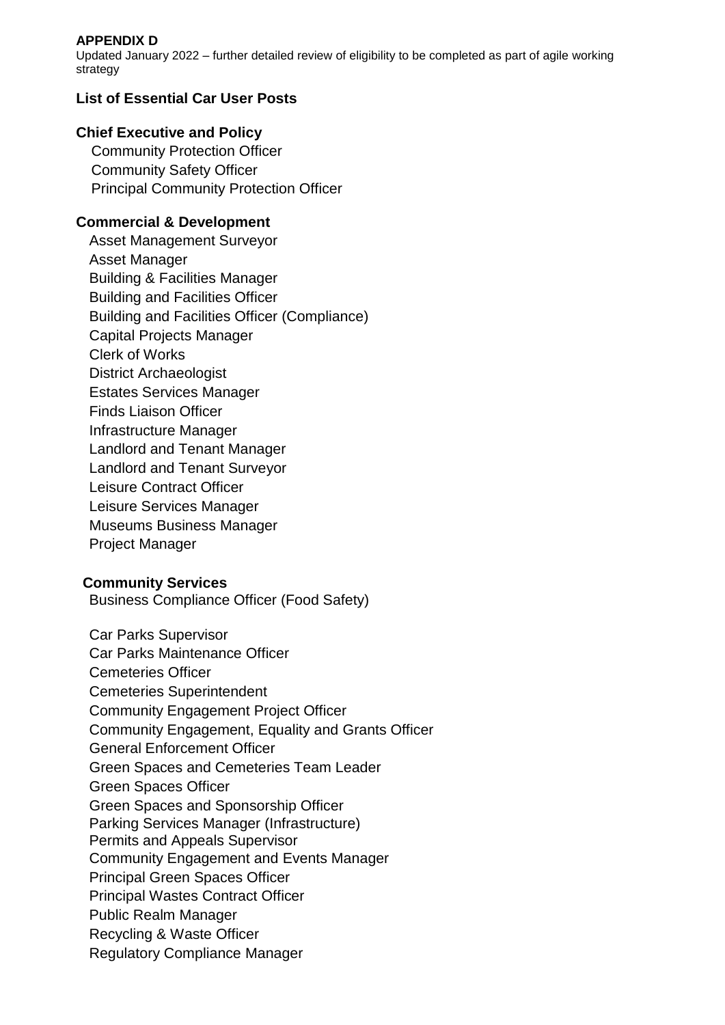### **APPENDIX D**

Updated January 2022 – further detailed review of eligibility to be completed as part of agile working strategy

# **List of Essential Car User Posts**

## **Chief Executive and Policy**

Community Protection Officer Community Safety Officer Principal Community Protection Officer

# **Commercial & Development**

Asset Management Surveyor Asset Manager Building & Facilities Manager Building and Facilities Officer Building and Facilities Officer (Compliance) Capital Projects Manager Clerk of Works District Archaeologist Estates Services Manager Finds Liaison Officer Infrastructure Manager Landlord and Tenant Manager Landlord and Tenant Surveyor Leisure Contract Officer Leisure Services Manager Museums Business Manager Project Manager

### **Community Services**

Business Compliance Officer (Food Safety)

Car Parks Supervisor Car Parks Maintenance Officer Cemeteries Officer Cemeteries Superintendent Community Engagement Project Officer Community Engagement, Equality and Grants Officer General Enforcement Officer Green Spaces and Cemeteries Team Leader Green Spaces Officer Green Spaces and Sponsorship Officer Parking Services Manager (Infrastructure) Permits and Appeals Supervisor Community Engagement and Events Manager Principal Green Spaces Officer Principal Wastes Contract Officer Public Realm Manager Recycling & Waste Officer Regulatory Compliance Manager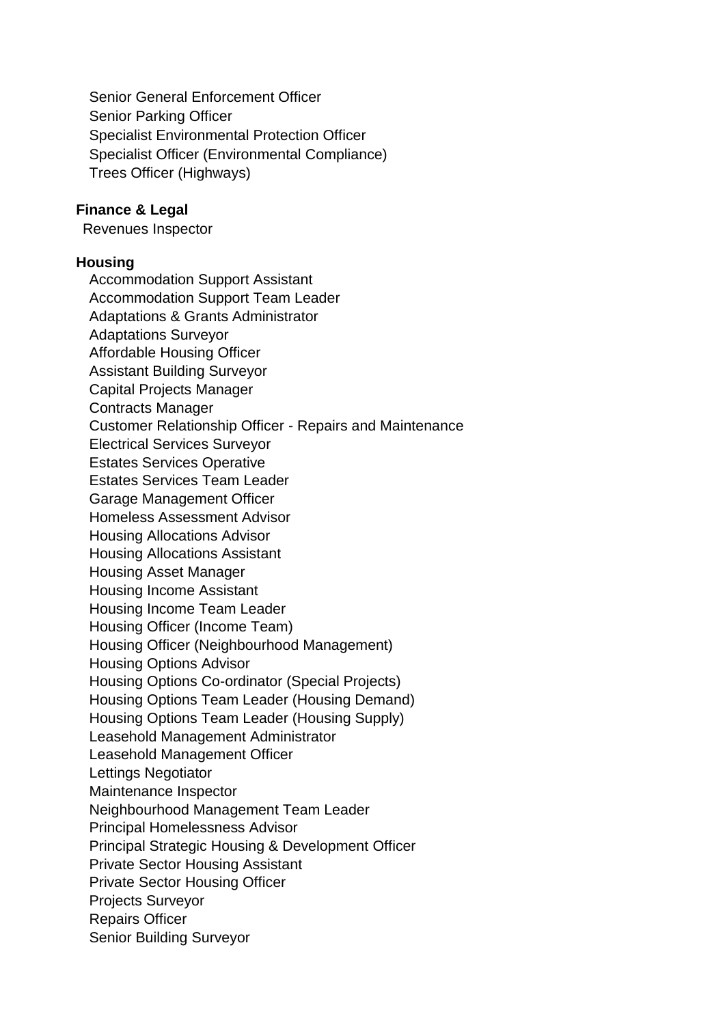Senior General Enforcement Officer Senior Parking Officer Specialist Environmental Protection Officer Specialist Officer (Environmental Compliance) Trees Officer (Highways)

### **Finance & Legal**

Revenues Inspector

#### **Housing**

Accommodation Support Assistant Accommodation Support Team Leader Adaptations & Grants Administrator Adaptations Surveyor Affordable Housing Officer Assistant Building Surveyor Capital Projects Manager Contracts Manager Customer Relationship Officer - Repairs and Maintenance Electrical Services Surveyor Estates Services Operative Estates Services Team Leader Garage Management Officer Homeless Assessment Advisor Housing Allocations Advisor Housing Allocations Assistant Housing Asset Manager Housing Income Assistant Housing Income Team Leader Housing Officer (Income Team) Housing Officer (Neighbourhood Management) Housing Options Advisor Housing Options Co-ordinator (Special Projects) Housing Options Team Leader (Housing Demand) Housing Options Team Leader (Housing Supply) Leasehold Management Administrator Leasehold Management Officer Lettings Negotiator Maintenance Inspector Neighbourhood Management Team Leader Principal Homelessness Advisor Principal Strategic Housing & Development Officer Private Sector Housing Assistant Private Sector Housing Officer Projects Surveyor Repairs Officer Senior Building Surveyor